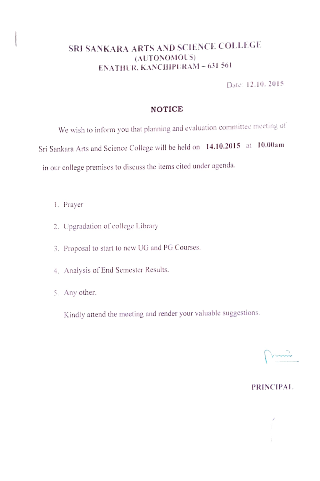## SRI SANKARA ARTS AND SCIENCE COLLEGE (AUTONOMOUS) ENATHUR, KANCHIPURAM - 631 561

Date: 12. 10. 2015

### NOTICE

We wish to inform you that planning and evaluation committee meeting of Sri Sankara Arts and Science College will be held on 14.10.2015 at 10.00am in our college premises to discuss the items cited under agenda.

- . Prayer
- 2. Upgradation of college Library
- 3. Proposal to start to new UG and PG Courses.
- 4. Analysis of End Semester Results.
- 5. Any other.

Kindly attend the meeting and render your valuable suggestions.

#### PRINCIPAL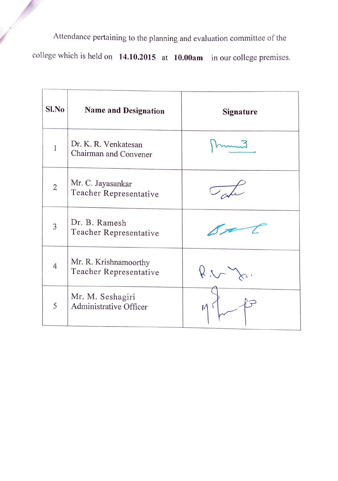Attendance pertaining to the planning and evaluation committee of the

college which is held on 14.10.2015 at 10.00am in our college premises.

| $Sl$ . No      | <b>Name and Designation</b>                     | <b>Signature</b> |
|----------------|-------------------------------------------------|------------------|
| 1              | Dr. K. R. Venkatesan<br>Chairman and Convener   |                  |
| $\overline{2}$ | Mr. C. Jayasankar<br>Teacher Representative     |                  |
| 3              | Dr. B. Ramesh<br>Teacher Representative         |                  |
| 4              | Mr. R. Krishnamoorthy<br>Teacher Representative | 24               |
| 5              | Mr. M. Seshagiri<br>Administrative Officer      |                  |